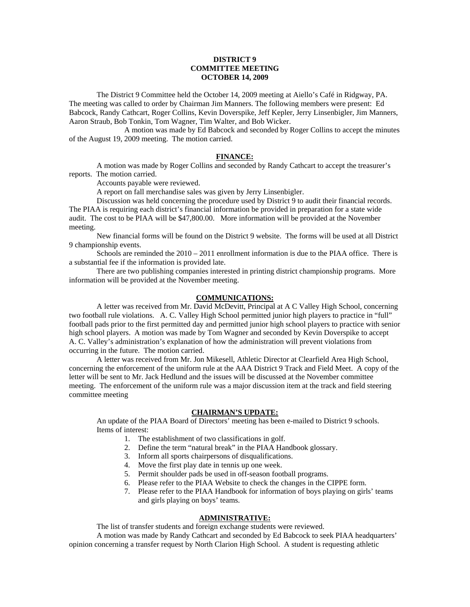# **DISTRICT 9 COMMITTEE MEETING OCTOBER 14, 2009**

 The District 9 Committee held the October 14, 2009 meeting at Aiello's Café in Ridgway, PA. The meeting was called to order by Chairman Jim Manners. The following members were present: Ed Babcock, Randy Cathcart, Roger Collins, Kevin Doverspike, Jeff Kepler, Jerry Linsenbigler, Jim Manners, Aaron Straub, Bob Tonkin, Tom Wagner, Tim Walter, and Bob Wicker.

 A motion was made by Ed Babcock and seconded by Roger Collins to accept the minutes of the August 19, 2009 meeting. The motion carried.

### **FINANCE:**

A motion was made by Roger Collins and seconded by Randy Cathcart to accept the treasurer's reports. The motion carried.

Accounts payable were reviewed.

A report on fall merchandise sales was given by Jerry Linsenbigler.

 Discussion was held concerning the procedure used by District 9 to audit their financial records. The PIAA is requiring each district's financial information be provided in preparation for a state wide audit. The cost to be PIAA will be \$47,800.00. More information will be provided at the November meeting.

 New financial forms will be found on the District 9 website. The forms will be used at all District 9 championship events.

 Schools are reminded the 2010 – 2011 enrollment information is due to the PIAA office. There is a substantial fee if the information is provided late.

 There are two publishing companies interested in printing district championship programs. More information will be provided at the November meeting.

### **COMMUNICATIONS:**

 A letter was received from Mr. David McDevitt, Principal at A C Valley High School, concerning two football rule violations. A. C. Valley High School permitted junior high players to practice in "full" football pads prior to the first permitted day and permitted junior high school players to practice with senior high school players. A motion was made by Tom Wagner and seconded by Kevin Doverspike to accept A. C. Valley's administration's explanation of how the administration will prevent violations from occurring in the future. The motion carried.

 A letter was received from Mr. Jon Mikesell, Athletic Director at Clearfield Area High School, concerning the enforcement of the uniform rule at the AAA District 9 Track and Field Meet. A copy of the letter will be sent to Mr. Jack Hedlund and the issues will be discussed at the November committee meeting. The enforcement of the uniform rule was a major discussion item at the track and field steering committee meeting

## **CHAIRMAN'S UPDATE:**

 An update of the PIAA Board of Directors' meeting has been e-mailed to District 9 schools. Items of interest:

- 1. The establishment of two classifications in golf.
- 2. Define the term "natural break" in the PIAA Handbook glossary.
- 3. Inform all sports chairpersons of disqualifications.
- 4. Move the first play date in tennis up one week.
- 5. Permit shoulder pads be used in off-season football programs.
- 6. Please refer to the PIAA Website to check the changes in the CIPPE form.
- 7. Please refer to the PIAA Handbook for information of boys playing on girls' teams and girls playing on boys' teams.

### **ADMINISTRATIVE:**

The list of transfer students and foreign exchange students were reviewed.

 A motion was made by Randy Cathcart and seconded by Ed Babcock to seek PIAA headquarters' opinion concerning a transfer request by North Clarion High School. A student is requesting athletic